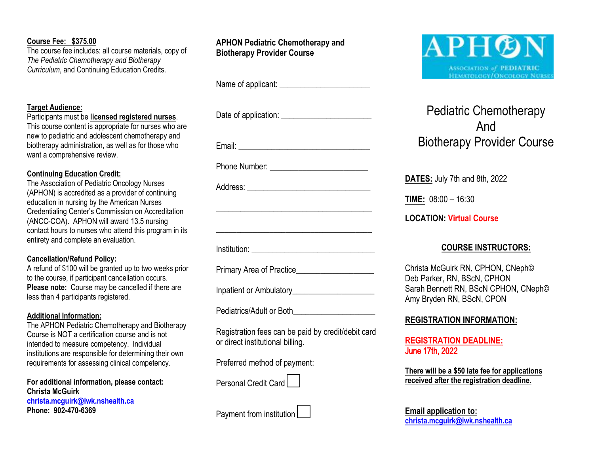# **Course Fee: \$375.00**

The course fee includes: all course materials, copy of *The Pediatric Chemotherapy and Biotherapy Curriculum*, and Continuing Education Credits.

# **Target Audience:**

Participants must be **licensed registered nurses**.

This course content is appropriate for nurses who are new to pediatric and adolescent chemotherapy and biotherapy administration, as well as for those who want a comprehensive review.

# **Continuing Education Credit:**

The Association of Pediatric Oncology Nurses (APHON) is accredited as a provider of continuing education in nursing by the American Nurses Credentialing Center's Commission on Accreditation (ANCC-COA). APHON will award 13.5 nursing contact hours to nurses who attend this program in its entirety and complete an evaluation.

## **Cancellation/Refund Policy:**

A refund of \$100 will be granted up to two weeks prior to the course, if participant cancellation occurs. **Please note:** Course may be cancelled if there are less than 4 participants registered.

## **Additional Information:**

The APHON Pediatric Chemotherapy and Biotherapy Course is NOT a certification course and is not intended to measure competency. Individual institutions are responsible for determining their own requirements for assessing clinical competency.

**For additional information, please contact: Christa McGuirk [christa.mcguirk@iwk.nshealth.ca](mailto:christa.mcguirk@iwk.nshealth.ca)  Phone: 902-470-6369**

# **APHON Pediatric Chemotherapy and Biotherapy Provider Course**

Name of applicant:  $\blacksquare$ 

Date of application:

Email: \_\_\_\_\_\_\_\_\_\_\_\_\_\_\_\_\_\_\_\_\_\_\_\_\_\_\_\_\_\_\_\_

Phone Number: \_\_\_\_\_\_\_\_\_\_\_\_\_\_\_\_\_\_\_\_\_\_\_\_

Address:

Institution: \_\_\_\_\_\_\_\_\_\_\_\_\_\_\_\_\_\_\_\_\_\_\_\_\_\_\_\_\_\_

Primary Area of Practice

Inpatient or Ambulatory

Pediatrics/Adult or Both

Registration fees can be paid by credit/debit card or direct institutional billing.

\_\_\_\_\_\_\_\_\_\_\_\_\_\_\_\_\_\_\_\_\_\_\_\_\_\_\_\_\_\_\_\_\_\_\_\_\_\_

\_\_\_\_\_\_\_\_\_\_\_\_\_\_\_\_\_\_\_\_\_\_\_\_\_\_\_\_\_\_\_\_\_\_\_\_\_\_

Preferred method of payment:

Personal Credit Card

Payment from institution



# Pediatric Chemotherapy And Biotherapy Provider Course

**DATES:** July 7th and 8th, 2022

**TIME:** 08:00 – 16:30

**LOCATION: Virtual Course** 

# **COURSE INSTRUCTORS:**

Christa McGuirk RN, CPHON, CNeph© Deb Parker, RN, BScN, CPHON Sarah Bennett RN, BScN CPHON, CNeph© Amy Bryden RN, BScN, CPON

# **REGISTRATION INFORMATION:**

**REGISTRATION DEADLINE:** June 17th, 2022

**There will be a \$50 late fee for applications received after the registration deadline.**

**Email application to: [christa.mcguirk@iwk.nshealth.ca](mailto:christa.mcguirk@iwk.nshealth.ca)**